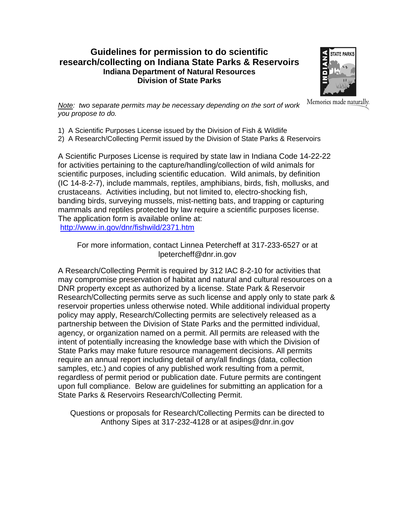# **Guidelines for permission to do scientific research/collecting on Indiana State Parks & Reservoirs Indiana Department of Natural Resources Division of State Parks**



Memories made naturally.

*Note: two separate permits may be necessary depending on the sort of work you propose to do.* 

- 1) A Scientific Purposes License issued by the Division of Fish & Wildlife
- 2) A Research/Collecting Permit issued by the Division of State Parks & Reservoirs

A Scientific Purposes License is required by state law in Indiana Code 14-22-22 for activities pertaining to the capture/handling/collection of wild animals for scientific purposes, including scientific education. Wild animals, by definition (IC 14-8-2-7), include mammals, reptiles, amphibians, birds, fish, mollusks, and crustaceans. Activities including, but not limited to, electro-shocking fish, banding birds, surveying mussels, mist-netting bats, and trapping or capturing mammals and reptiles protected by law require a scientific purposes license. The application form is available online at: http://www.in.gov/dnr/fishwild/2371.htm

For more information, contact Linnea Petercheff at 317-233-6527 or at lpetercheff@dnr.in.gov

A Research/Collecting Permit is required by 312 IAC 8-2-10 for activities that may compromise preservation of habitat and natural and cultural resources on a DNR property except as authorized by a license. State Park & Reservoir Research/Collecting permits serve as such license and apply only to state park & reservoir properties unless otherwise noted. While additional individual property policy may apply, Research/Collecting permits are selectively released as a partnership between the Division of State Parks and the permitted individual, agency, or organization named on a permit. All permits are released with the intent of potentially increasing the knowledge base with which the Division of State Parks may make future resource management decisions. All permits require an annual report including detail of any/all findings (data, collection samples, etc.) and copies of any published work resulting from a permit, regardless of permit period or publication date. Future permits are contingent upon full compliance. Below are guidelines for submitting an application for a State Parks & Reservoirs Research/Collecting Permit.

Questions or proposals for Research/Collecting Permits can be directed to Anthony Sipes at 317-232-4128 or at asipes@dnr.in.gov